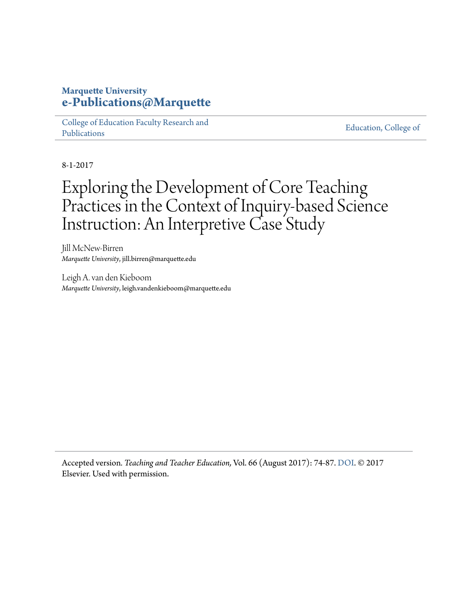## **Marquette University [e-Publications@Marquette](https://epublications.marquette.edu)**

[College of Education Faculty Research and](https://epublications.marquette.edu/edu_fac) [Publications](https://epublications.marquette.edu/edu_fac)

[Education, College of](https://epublications.marquette.edu/education)

8-1-2017

## Exploring the Development of Core Teaching Practices in the Context of Inquiry-based Science Instruction: An Interpretive Case Study

Jill McNew-Birren *Marquette University*, jill.birren@marquette.edu

Leigh A. van den Kieboom *Marquette University*, leigh.vandenkieboom@marquette.edu

Accepted version*. Teaching and Teacher Education,* Vol. 66 (August 2017): 74-87. [DOI](http://dx.doi.org/10.1016/j.tate.2017.04.001). © 2017 Elsevier. Used with permission.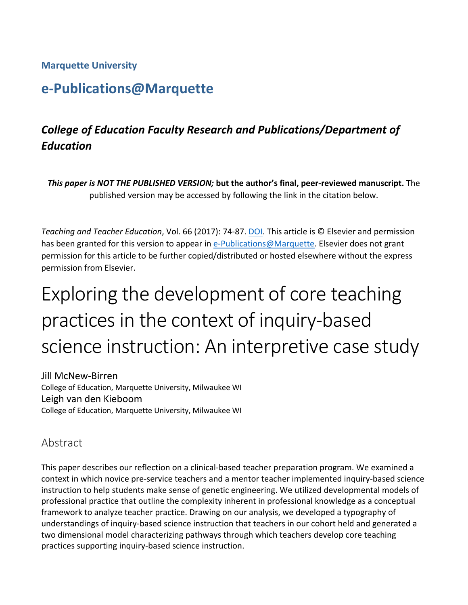#### **Marquette University**

## **e‐Publications@Marquette**

## *College of Education Faculty Research and Publications/Department of Education*

*This paper is NOT THE PUBLISHED VERSION;* **but the author's final, peer‐reviewed manuscript.** The published version may be accessed by following the link in the citation below.

*Teaching and Teacher Education*, Vol. 66 (2017): 74‐87. DOI. This article is © Elsevier and permission has been granted for this version to appear in e-Publications@Marquette. Elsevier does not grant permission for this article to be further copied/distributed or hosted elsewhere without the express permission from Elsevier.

# Exploring the development of core teaching practices in the context of inquiry-based science instruction: An interpretive case study

Jill McNew‐Birren College of Education, Marquette University, Milwaukee WI Leigh van den Kieboom College of Education, Marquette University, Milwaukee WI

#### Abstract

This paper describes our reflection on a clinical‐based teacher preparation program. We examined a context in which novice pre‐service teachers and a mentor teacher implemented inquiry‐based science instruction to help students make sense of genetic engineering. We utilized developmental models of professional practice that outline the complexity inherent in professional knowledge as a conceptual framework to analyze teacher practice. Drawing on our analysis, we developed a typography of understandings of inquiry‐based science instruction that teachers in our cohort held and generated a two dimensional model characterizing pathways through which teachers develop core teaching practices supporting inquiry‐based science instruction.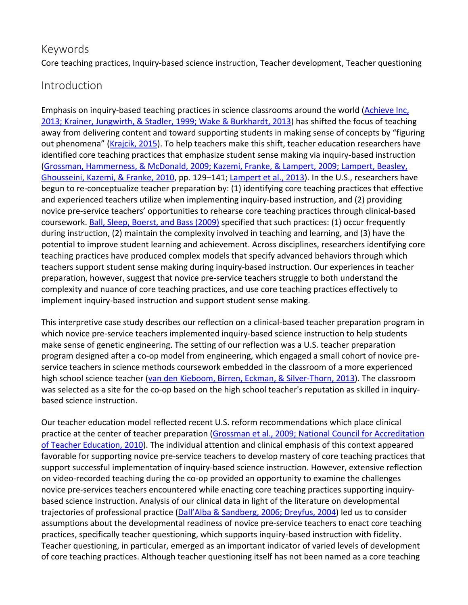## Keywords

Core teaching practices, Inquiry‐based science instruction, Teacher development, Teacher questioning

## Introduction

Emphasis on inquiry‐based teaching practices in science classrooms around the world (Achieve Inc, 2013; Krainer, Jungwirth, & Stadler, 1999; Wake & Burkhardt, 2013) has shifted the focus of teaching away from delivering content and toward supporting students in making sense of concepts by "figuring out phenomena" (Krajcik, 2015). To help teachers make this shift, teacher education researchers have identified core teaching practices that emphasize student sense making via inquiry-based instruction (Grossman, Hammerness, & McDonald, 2009; Kazemi, Franke, & Lampert, 2009; Lampert, Beasley, Ghousseini, Kazemi, & Franke, 2010, pp. 129–141; Lampert et al., 2013). In the U.S., researchers have begun to re-conceptualize teacher preparation by: (1) identifying core teaching practices that effective and experienced teachers utilize when implementing inquiry-based instruction, and (2) providing novice pre‐service teachers' opportunities to rehearse core teaching practices through clinical‐based coursework. Ball, Sleep, Boerst, and Bass (2009) specified that such practices: (1) occur frequently during instruction, (2) maintain the complexity involved in teaching and learning, and (3) have the potential to improve student learning and achievement. Across disciplines, researchers identifying core teaching practices have produced complex models that specify advanced behaviors through which teachers support student sense making during inquiry‐based instruction. Our experiences in teacher preparation, however, suggest that novice pre‐service teachers struggle to both understand the complexity and nuance of core teaching practices, and use core teaching practices effectively to implement inquiry‐based instruction and support student sense making.

This interpretive case study describes our reflection on a clinical‐based teacher preparation program in which novice pre-service teachers implemented inquiry-based science instruction to help students make sense of genetic engineering. The setting of our reflection was a U.S. teacher preparation program designed after a co‐op model from engineering, which engaged a small cohort of novice pre‐ service teachers in science methods coursework embedded in the classroom of a more experienced high school science teacher (van den Kieboom, Birren, Eckman, & Silver-Thorn, 2013). The classroom was selected as a site for the co-op based on the high school teacher's reputation as skilled in inquirybased science instruction.

Our teacher education model reflected recent U.S. reform recommendations which place clinical practice at the center of teacher preparation (Grossman et al., 2009; National Council for Accreditation of Teacher Education, 2010). The individual attention and clinical emphasis of this context appeared favorable for supporting novice pre‐service teachers to develop mastery of core teaching practices that support successful implementation of inquiry‐based science instruction. However, extensive reflection on video‐recorded teaching during the co‐op provided an opportunity to examine the challenges novice pre-services teachers encountered while enacting core teaching practices supporting inquirybased science instruction. Analysis of our clinical data in light of the literature on developmental trajectories of professional practice (Dall'Alba & Sandberg, 2006; Dreyfus, 2004) led us to consider assumptions about the developmental readiness of novice pre‐service teachers to enact core teaching practices, specifically teacher questioning, which supports inquiry‐based instruction with fidelity. Teacher questioning, in particular, emerged as an important indicator of varied levels of development of core teaching practices. Although teacher questioning itself has not been named as a core teaching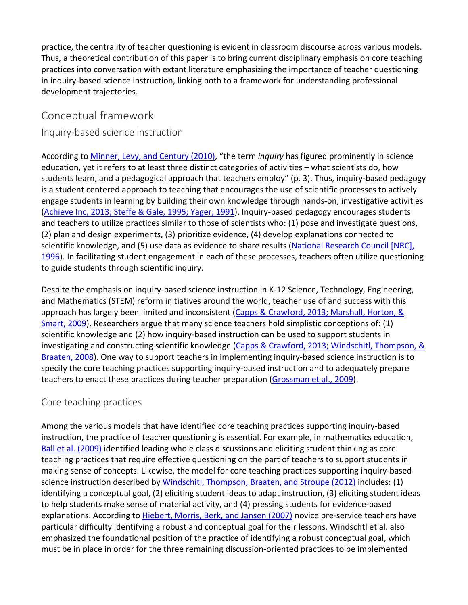practice, the centrality of teacher questioning is evident in classroom discourse across various models. Thus, a theoretical contribution of this paper is to bring current disciplinary emphasis on core teaching practices into conversation with extant literature emphasizing the importance of teacher questioning in inquiry‐based science instruction, linking both to a framework for understanding professional development trajectories.

## Conceptual framework

#### Inquiry‐based science instruction

According to Minner, Levy, and Century (2010), "the term *inquiry* has figured prominently in science education, yet it refers to at least three distinct categories of activities – what scientists do, how students learn, and a pedagogical approach that teachers employ" (p. 3). Thus, inquiry‐based pedagogy is a student centered approach to teaching that encourages the use of scientific processes to actively engage students in learning by building their own knowledge through hands‐on, investigative activities (Achieve Inc, 2013; Steffe & Gale, 1995; Yager, 1991). Inquiry‐based pedagogy encourages students and teachers to utilize practices similar to those of scientists who: (1) pose and investigate questions, (2) plan and design experiments, (3) prioritize evidence, (4) develop explanations connected to scientific knowledge, and (5) use data as evidence to share results (National Research Council [NRC], 1996). In facilitating student engagement in each of these processes, teachers often utilize questioning to guide students through scientific inquiry.

Despite the emphasis on inquiry-based science instruction in K-12 Science, Technology, Engineering, and Mathematics (STEM) reform initiatives around the world, teacher use of and success with this approach has largely been limited and inconsistent (Capps & Crawford, 2013; Marshall, Horton, & Smart, 2009). Researchers argue that many science teachers hold simplistic conceptions of: (1) scientific knowledge and (2) how inquiry-based instruction can be used to support students in investigating and constructing scientific knowledge (Capps & Crawford, 2013; Windschitl, Thompson, & Braaten, 2008). One way to support teachers in implementing inquiry‐based science instruction is to specify the core teaching practices supporting inquiry‐based instruction and to adequately prepare teachers to enact these practices during teacher preparation (Grossman et al., 2009).

#### Core teaching practices

Among the various models that have identified core teaching practices supporting inquiry‐based instruction, the practice of teacher questioning is essential. For example, in mathematics education, Ball et al. (2009) identified leading whole class discussions and eliciting student thinking as core teaching practices that require effective questioning on the part of teachers to support students in making sense of concepts. Likewise, the model for core teaching practices supporting inquiry‐based science instruction described by Windschitl, Thompson, Braaten, and Stroupe (2012) includes: (1) identifying a conceptual goal, (2) eliciting student ideas to adapt instruction, (3) eliciting student ideas to help students make sense of material activity, and (4) pressing students for evidence‐based explanations. According to Hiebert, Morris, Berk, and Jansen (2007) novice pre-service teachers have particular difficulty identifying a robust and conceptual goal for their lessons. Windschtl et al. also emphasized the foundational position of the practice of identifying a robust conceptual goal, which must be in place in order for the three remaining discussion‐oriented practices to be implemented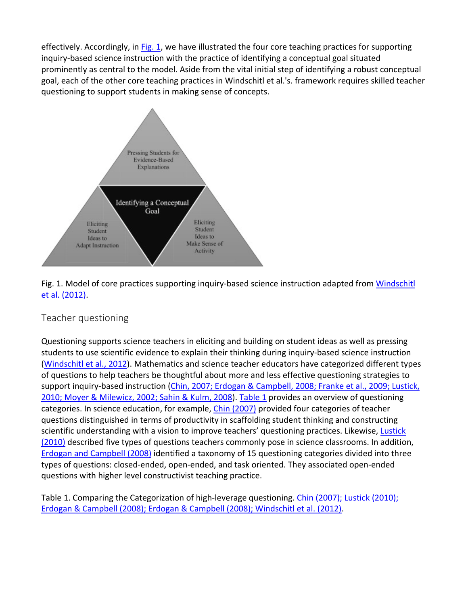effectively. Accordingly, in Fig. 1, we have illustrated the four core teaching practices for supporting inquiry‐based science instruction with the practice of identifying a conceptual goal situated prominently as central to the model. Aside from the vital initial step of identifying a robust conceptual goal, each of the other core teaching practices in Windschitl et al.'s. framework requires skilled teacher questioning to support students in making sense of concepts.



Fig. 1. Model of core practices supporting inquiry-based science instruction adapted from Windschitl et al. (2012).

#### Teacher questioning

Questioning supports science teachers in eliciting and building on student ideas as well as pressing students to use scientific evidence to explain their thinking during inquiry‐based science instruction (Windschitl et al., 2012). Mathematics and science teacher educators have categorized different types of questions to help teachers be thoughtful about more and less effective questioning strategies to support inquiry-based instruction (Chin, 2007; Erdogan & Campbell, 2008; Franke et al., 2009; Lustick, 2010; Moyer & Milewicz, 2002; Sahin & Kulm, 2008). Table 1 provides an overview of questioning categories. In science education, for example, Chin (2007) provided four categories of teacher questions distinguished in terms of productivity in scaffolding student thinking and constructing scientific understanding with a vision to improve teachers' questioning practices. Likewise, Lustick (2010) described five types of questions teachers commonly pose in science classrooms. In addition, Erdogan and Campbell (2008) identified a taxonomy of 15 questioning categories divided into three types of questions: closed‐ended, open‐ended, and task oriented. They associated open‐ended questions with higher level constructivist teaching practice.

Table 1. Comparing the Categorization of high-leverage questioning. Chin (2007); Lustick (2010); Erdogan & Campbell (2008); Erdogan & Campbell (2008); Windschitl et al. (2012).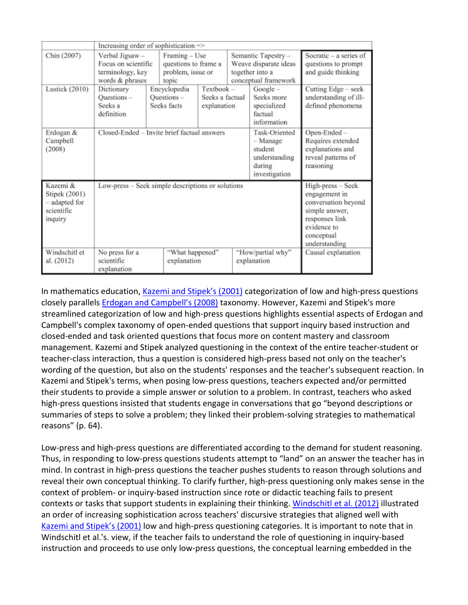|                                                                     | Increasing order of sophistication =>                                                                                             |                                                                     |                                                |                                                                                         |                                                                   |                                                                                                                                             |  |  |
|---------------------------------------------------------------------|-----------------------------------------------------------------------------------------------------------------------------------|---------------------------------------------------------------------|------------------------------------------------|-----------------------------------------------------------------------------------------|-------------------------------------------------------------------|---------------------------------------------------------------------------------------------------------------------------------------------|--|--|
| Chin (2007)                                                         | Verbal Jigsaw -<br>Focus on scientific<br>terminology, key<br>words & phrases                                                     | Framing - Use<br>questions to frame a<br>problem, issue or<br>topic |                                                | Semantic Tapestry -<br>Weave disparate ideas<br>together into a<br>conceptual framework |                                                                   | Socratic - a series of<br>questions to prompt<br>and guide thinking                                                                         |  |  |
| Lustick (2010)                                                      | Dictionary<br>$O$ uestions $-$<br>Seeks a<br>definition                                                                           | Encyclopedia<br>Questions-<br>Seeks facts                           | $Textbook -$<br>Seeks a factual<br>explanation |                                                                                         | $Google -$<br>Seeks more<br>specialized<br>factual<br>information | Cutting Edge - seek<br>understanding of ill-<br>defined phenomena                                                                           |  |  |
| Erdogan &<br>Campbell<br>(2008)                                     | Closed-Ended - Invite brief factual answers<br>Task-Oriented<br>$-$ Manage<br>student<br>understanding<br>during<br>investigation |                                                                     |                                                |                                                                                         |                                                                   | Open-Ended-<br>Requires extended<br>explanations and<br>reveal patterns of<br>reasoning                                                     |  |  |
| Kazemi &<br>Stipek (2001)<br>- adapted for<br>scientific<br>inquiry | Low-press - Seek simple descriptions or solutions                                                                                 |                                                                     |                                                |                                                                                         |                                                                   | High-press - Seek<br>engagement in<br>conversation beyond<br>simple answer,<br>responses link<br>evidence to<br>conceptual<br>understanding |  |  |
| Windschitl et<br>al. (2012)                                         | No press for a<br>scientific<br>explanation                                                                                       | "What happened"<br>explanation                                      |                                                |                                                                                         | "How/partial why"<br>explanation                                  | Causal explanation                                                                                                                          |  |  |

In mathematics education, Kazemi and Stipek's (2001) categorization of low and high-press questions closely parallels Erdogan and Campbell's (2008) taxonomy. However, Kazemi and Stipek's more streamlined categorization of low and high‐press questions highlights essential aspects of Erdogan and Campbell's complex taxonomy of open‐ended questions that support inquiry based instruction and closed‐ended and task oriented questions that focus more on content mastery and classroom management. Kazemi and Stipek analyzed questioning in the context of the entire teacher‐student or teacher-class interaction, thus a question is considered high-press based not only on the teacher's wording of the question, but also on the students' responses and the teacher's subsequent reaction. In Kazemi and Stipek's terms, when posing low‐press questions, teachers expected and/or permitted their students to provide a simple answer or solution to a problem. In contrast, teachers who asked high-press questions insisted that students engage in conversations that go "beyond descriptions or summaries of steps to solve a problem; they linked their problem‐solving strategies to mathematical reasons" (p. 64).

Low-press and high-press questions are differentiated according to the demand for student reasoning. Thus, in responding to low-press questions students attempt to "land" on an answer the teacher has in mind. In contrast in high‐press questions the teacher pushes students to reason through solutions and reveal their own conceptual thinking. To clarify further, high‐press questioning only makes sense in the context of problem‐ or inquiry‐based instruction since rote or didactic teaching fails to present contexts or tasks that support students in explaining their thinking. Windschitl et al. (2012) illustrated an order of increasing sophistication across teachers' discursive strategies that aligned well with Kazemi and Stipek's (2001) low and high-press questioning categories. It is important to note that in Windschitl et al.'s. view, if the teacher fails to understand the role of questioning in inquiry‐based instruction and proceeds to use only low‐press questions, the conceptual learning embedded in the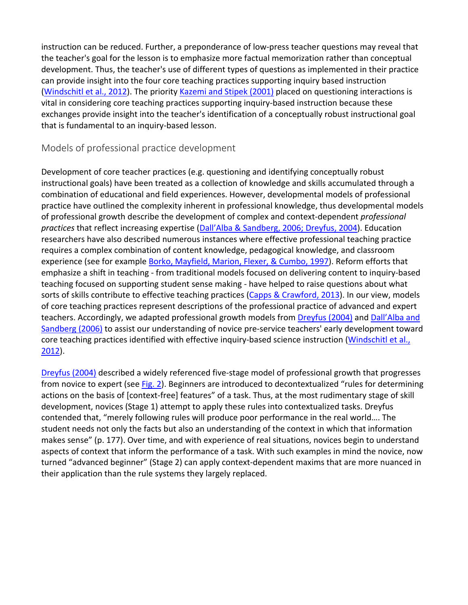instruction can be reduced. Further, a preponderance of low-press teacher questions may reveal that the teacher's goal for the lesson is to emphasize more factual memorization rather than conceptual development. Thus, the teacher's use of different types of questions as implemented in their practice can provide insight into the four core teaching practices supporting inquiry based instruction (Windschitl et al., 2012). The priority Kazemi and Stipek (2001) placed on questioning interactions is vital in considering core teaching practices supporting inquiry‐based instruction because these exchanges provide insight into the teacher's identification of a conceptually robust instructional goal that is fundamental to an inquiry‐based lesson.

#### Models of professional practice development

Development of core teacher practices (e.g. questioning and identifying conceptually robust instructional goals) have been treated as a collection of knowledge and skills accumulated through a combination of educational and field experiences. However, developmental models of professional practice have outlined the complexity inherent in professional knowledge, thus developmental models of professional growth describe the development of complex and context‐dependent *professional practices* that reflect increasing expertise (Dall'Alba & Sandberg, 2006; Dreyfus, 2004). Education researchers have also described numerous instances where effective professional teaching practice requires a complex combination of content knowledge, pedagogical knowledge, and classroom experience (see for example Borko, Mayfield, Marion, Flexer, & Cumbo, 1997). Reform efforts that emphasize a shift in teaching ‐ from traditional models focused on delivering content to inquiry‐based teaching focused on supporting student sense making ‐ have helped to raise questions about what sorts of skills contribute to effective teaching practices (Capps & Crawford, 2013). In our view, models of core teaching practices represent descriptions of the professional practice of advanced and expert teachers. Accordingly, we adapted professional growth models from Dreyfus (2004) and Dall'Alba and Sandberg (2006) to assist our understanding of novice pre‐service teachers' early development toward core teaching practices identified with effective inquiry-based science instruction (Windschitl et al., 2012).

Dreyfus (2004) described a widely referenced five-stage model of professional growth that progresses from novice to expert (see Fig. 2). Beginners are introduced to decontextualized "rules for determining actions on the basis of [context‐free] features" of a task. Thus, at the most rudimentary stage of skill development, novices (Stage 1) attempt to apply these rules into contextualized tasks. Dreyfus contended that, "merely following rules will produce poor performance in the real world…. The student needs not only the facts but also an understanding of the context in which that information makes sense" (p. 177). Over time, and with experience of real situations, novices begin to understand aspects of context that inform the performance of a task. With such examples in mind the novice, now turned "advanced beginner" (Stage 2) can apply context‐dependent maxims that are more nuanced in their application than the rule systems they largely replaced.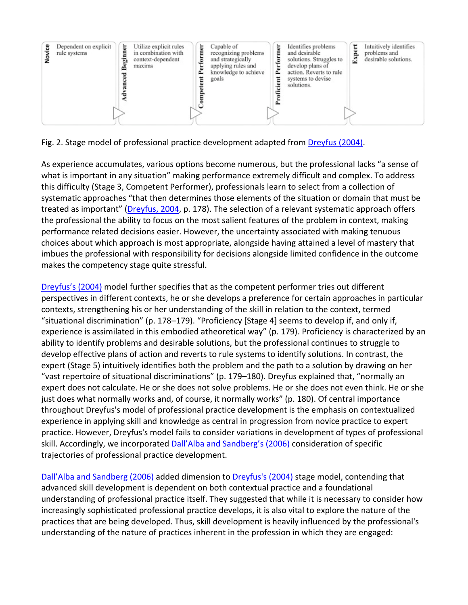

Fig. 2. Stage model of professional practice development adapted from Dreyfus (2004).

As experience accumulates, various options become numerous, but the professional lacks "a sense of what is important in any situation" making performance extremely difficult and complex. To address this difficulty (Stage 3, Competent Performer), professionals learn to select from a collection of systematic approaches "that then determines those elements of the situation or domain that must be treated as important" (Dreyfus, 2004, p. 178). The selection of a relevant systematic approach offers the professional the ability to focus on the most salient features of the problem in context, making performance related decisions easier. However, the uncertainty associated with making tenuous choices about which approach is most appropriate, alongside having attained a level of mastery that imbues the professional with responsibility for decisions alongside limited confidence in the outcome makes the competency stage quite stressful.

Dreyfus's (2004) model further specifies that as the competent performer tries out different perspectives in different contexts, he or she develops a preference for certain approaches in particular contexts, strengthening his or her understanding of the skill in relation to the context, termed "situational discrimination" (p. 178–179). "Proficiency [Stage 4] seems to develop if, and only if, experience is assimilated in this embodied atheoretical way" (p. 179). Proficiency is characterized by an ability to identify problems and desirable solutions, but the professional continues to struggle to develop effective plans of action and reverts to rule systems to identify solutions. In contrast, the expert (Stage 5) intuitively identifies both the problem and the path to a solution by drawing on her "vast repertoire of situational discriminations" (p. 179–180). Dreyfus explained that, "normally an expert does not calculate. He or she does not solve problems. He or she does not even think. He or she just does what normally works and, of course, it normally works" (p. 180). Of central importance throughout Dreyfus's model of professional practice development is the emphasis on contextualized experience in applying skill and knowledge as central in progression from novice practice to expert practice. However, Dreyfus's model fails to consider variations in development of types of professional skill. Accordingly, we incorporated Dall'Alba and Sandberg's (2006) consideration of specific trajectories of professional practice development.

Dall'Alba and Sandberg (2006) added dimension to Dreyfus's (2004) stage model, contending that advanced skill development is dependent on both contextual practice and a foundational understanding of professional practice itself. They suggested that while it is necessary to consider how increasingly sophisticated professional practice develops, it is also vital to explore the nature of the practices that are being developed. Thus, skill development is heavily influenced by the professional's understanding of the nature of practices inherent in the profession in which they are engaged: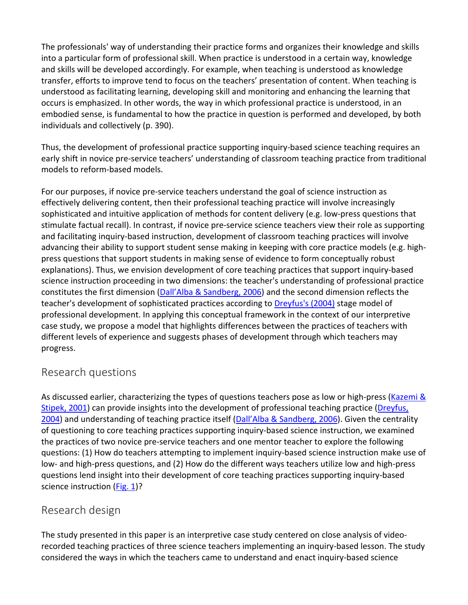The professionals' way of understanding their practice forms and organizes their knowledge and skills into a particular form of professional skill. When practice is understood in a certain way, knowledge and skills will be developed accordingly. For example, when teaching is understood as knowledge transfer, efforts to improve tend to focus on the teachers' presentation of content. When teaching is understood as facilitating learning, developing skill and monitoring and enhancing the learning that occurs is emphasized. In other words, the way in which professional practice is understood, in an embodied sense, is fundamental to how the practice in question is performed and developed, by both individuals and collectively (p. 390).

Thus, the development of professional practice supporting inquiry‐based science teaching requires an early shift in novice pre‐service teachers' understanding of classroom teaching practice from traditional models to reform‐based models.

For our purposes, if novice pre‐service teachers understand the goal of science instruction as effectively delivering content, then their professional teaching practice will involve increasingly sophisticated and intuitive application of methods for content delivery (e.g. low-press questions that stimulate factual recall). In contrast, if novice pre‐service science teachers view their role as supporting and facilitating inquiry‐based instruction, development of classroom teaching practices will involve advancing their ability to support student sense making in keeping with core practice models (e.g. high‐ press questions that support students in making sense of evidence to form conceptually robust explanations). Thus, we envision development of core teaching practices that support inquiry‐based science instruction proceeding in two dimensions: the teacher's understanding of professional practice constitutes the first dimension (Dall'Alba & Sandberg, 2006) and the second dimension reflects the teacher's development of sophisticated practices according to Dreyfus's (2004) stage model of professional development. In applying this conceptual framework in the context of our interpretive case study, we propose a model that highlights differences between the practices of teachers with different levels of experience and suggests phases of development through which teachers may progress.

## Research questions

As discussed earlier, characterizing the types of questions teachers pose as low or high-press (Kazemi & Stipek, 2001) can provide insights into the development of professional teaching practice (Dreyfus, 2004) and understanding of teaching practice itself (Dall'Alba & Sandberg, 2006). Given the centrality of questioning to core teaching practices supporting inquiry‐based science instruction, we examined the practices of two novice pre‐service teachers and one mentor teacher to explore the following questions: (1) How do teachers attempting to implement inquiry‐based science instruction make use of low- and high-press questions, and (2) How do the different ways teachers utilize low and high-press questions lend insight into their development of core teaching practices supporting inquiry‐based science instruction (Fig. 1)?

## Research design

The study presented in this paper is an interpretive case study centered on close analysis of video‐ recorded teaching practices of three science teachers implementing an inquiry‐based lesson. The study considered the ways in which the teachers came to understand and enact inquiry‐based science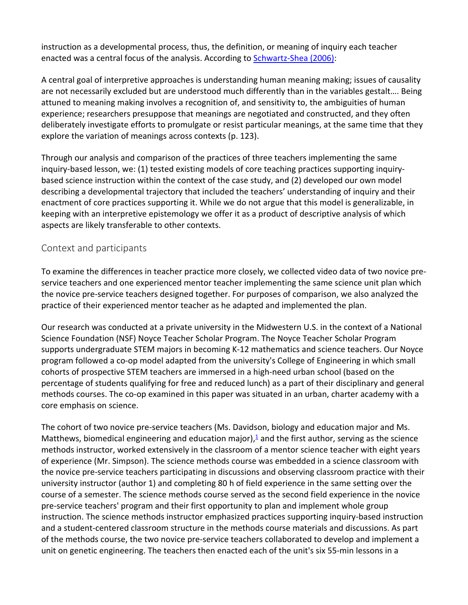instruction as a developmental process, thus, the definition, or meaning of inquiry each teacher enacted was a central focus of the analysis. According to **Schwartz-Shea** (2006):

A central goal of interpretive approaches is understanding human meaning making; issues of causality are not necessarily excluded but are understood much differently than in the variables gestalt…. Being attuned to meaning making involves a recognition of, and sensitivity to, the ambiguities of human experience; researchers presuppose that meanings are negotiated and constructed, and they often deliberately investigate efforts to promulgate or resist particular meanings, at the same time that they explore the variation of meanings across contexts (p. 123).

Through our analysis and comparison of the practices of three teachers implementing the same inquiry‐based lesson, we: (1) tested existing models of core teaching practices supporting inquiry‐ based science instruction within the context of the case study, and (2) developed our own model describing a developmental trajectory that included the teachers' understanding of inquiry and their enactment of core practices supporting it. While we do not argue that this model is generalizable, in keeping with an interpretive epistemology we offer it as a product of descriptive analysis of which aspects are likely transferable to other contexts.

#### Context and participants

To examine the differences in teacher practice more closely, we collected video data of two novice pre‐ service teachers and one experienced mentor teacher implementing the same science unit plan which the novice pre‐service teachers designed together. For purposes of comparison, we also analyzed the practice of their experienced mentor teacher as he adapted and implemented the plan.

Our research was conducted at a private university in the Midwestern U.S. in the context of a National Science Foundation (NSF) Noyce Teacher Scholar Program. The Noyce Teacher Scholar Program supports undergraduate STEM majors in becoming K‐12 mathematics and science teachers. Our Noyce program followed a co-op model adapted from the university's College of Engineering in which small cohorts of prospective STEM teachers are immersed in a high‐need urban school (based on the percentage of students qualifying for free and reduced lunch) as a part of their disciplinary and general methods courses. The co-op examined in this paper was situated in an urban, charter academy with a core emphasis on science.

The cohort of two novice pre‐service teachers (Ms. Davidson, biology and education major and Ms. Matthews, biomedical engineering and education major), $\frac{1}{2}$  and the first author, serving as the science methods instructor, worked extensively in the classroom of a mentor science teacher with eight years of experience (Mr. Simpson). The science methods course was embedded in a science classroom with the novice pre‐service teachers participating in discussions and observing classroom practice with their university instructor (author 1) and completing 80 h of field experience in the same setting over the course of a semester. The science methods course served as the second field experience in the novice pre‐service teachers' program and their first opportunity to plan and implement whole group instruction. The science methods instructor emphasized practices supporting inquiry‐based instruction and a student‐centered classroom structure in the methods course materials and discussions. As part of the methods course, the two novice pre‐service teachers collaborated to develop and implement a unit on genetic engineering. The teachers then enacted each of the unit's six 55‐min lessons in a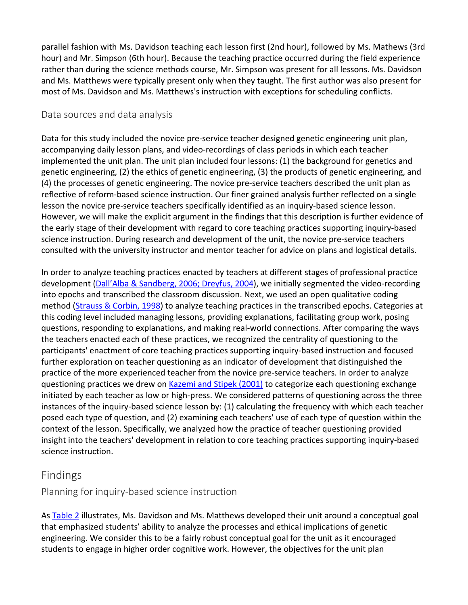parallel fashion with Ms. Davidson teaching each lesson first (2nd hour), followed by Ms. Mathews (3rd hour) and Mr. Simpson (6th hour). Because the teaching practice occurred during the field experience rather than during the science methods course, Mr. Simpson was present for all lessons. Ms. Davidson and Ms. Matthews were typically present only when they taught. The first author was also present for most of Ms. Davidson and Ms. Matthews's instruction with exceptions for scheduling conflicts.

#### Data sources and data analysis

Data for this study included the novice pre-service teacher designed genetic engineering unit plan, accompanying daily lesson plans, and video‐recordings of class periods in which each teacher implemented the unit plan. The unit plan included four lessons: (1) the background for genetics and genetic engineering, (2) the ethics of genetic engineering, (3) the products of genetic engineering, and (4) the processes of genetic engineering. The novice pre‐service teachers described the unit plan as reflective of reform‐based science instruction. Our finer grained analysis further reflected on a single lesson the novice pre‐service teachers specifically identified as an inquiry‐based science lesson. However, we will make the explicit argument in the findings that this description is further evidence of the early stage of their development with regard to core teaching practices supporting inquiry‐based science instruction. During research and development of the unit, the novice pre‐service teachers consulted with the university instructor and mentor teacher for advice on plans and logistical details.

In order to analyze teaching practices enacted by teachers at different stages of professional practice development (Dall'Alba & Sandberg, 2006; Dreyfus, 2004), we initially segmented the video‐recording into epochs and transcribed the classroom discussion. Next, we used an open qualitative coding method (Strauss & Corbin, 1998) to analyze teaching practices in the transcribed epochs. Categories at this coding level included managing lessons, providing explanations, facilitating group work, posing questions, responding to explanations, and making real‐world connections. After comparing the ways the teachers enacted each of these practices, we recognized the centrality of questioning to the participants' enactment of core teaching practices supporting inquiry‐based instruction and focused further exploration on teacher questioning as an indicator of development that distinguished the practice of the more experienced teacher from the novice pre‐service teachers. In order to analyze questioning practices we drew on Kazemi and Stipek (2001) to categorize each questioning exchange initiated by each teacher as low or high‐press. We considered patterns of questioning across the three instances of the inquiry‐based science lesson by: (1) calculating the frequency with which each teacher posed each type of question, and (2) examining each teachers' use of each type of question within the context of the lesson. Specifically, we analyzed how the practice of teacher questioning provided insight into the teachers' development in relation to core teaching practices supporting inquiry‐based science instruction.

## Findings

Planning for inquiry‐based science instruction

As Table 2 illustrates, Ms. Davidson and Ms. Matthews developed their unit around a conceptual goal that emphasized students' ability to analyze the processes and ethical implications of genetic engineering. We consider this to be a fairly robust conceptual goal for the unit as it encouraged students to engage in higher order cognitive work. However, the objectives for the unit plan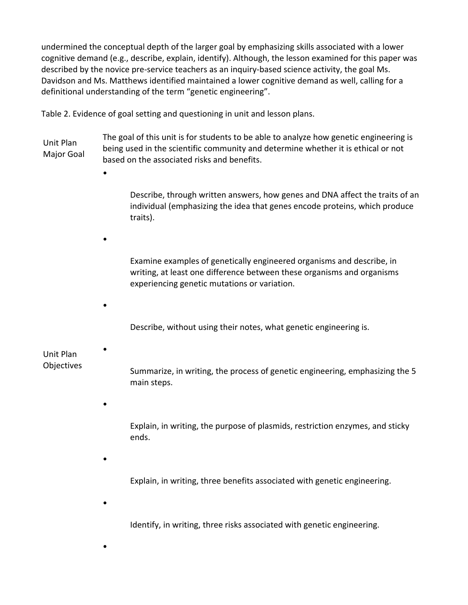undermined the conceptual depth of the larger goal by emphasizing skills associated with a lower cognitive demand (e.g., describe, explain, identify). Although, the lesson examined for this paper was described by the novice pre‐service teachers as an inquiry‐based science activity, the goal Ms. Davidson and Ms. Matthews identified maintained a lower cognitive demand as well, calling for a definitional understanding of the term "genetic engineering".

Table 2. Evidence of goal setting and questioning in unit and lesson plans.

•

| Unit Plan<br>Major Goal | The goal of this unit is for students to be able to analyze how genetic engineering is<br>being used in the scientific community and determine whether it is ethical or not<br>based on the associated risks and benefits. |  |  |  |  |
|-------------------------|----------------------------------------------------------------------------------------------------------------------------------------------------------------------------------------------------------------------------|--|--|--|--|
| Unit Plan<br>Objectives | Describe, through written answers, how genes and DNA affect the traits of an<br>individual (emphasizing the idea that genes encode proteins, which produce<br>traits).                                                     |  |  |  |  |
|                         | Examine examples of genetically engineered organisms and describe, in<br>writing, at least one difference between these organisms and organisms<br>experiencing genetic mutations or variation.                            |  |  |  |  |
|                         | Describe, without using their notes, what genetic engineering is.                                                                                                                                                          |  |  |  |  |
|                         | Summarize, in writing, the process of genetic engineering, emphasizing the 5<br>main steps.                                                                                                                                |  |  |  |  |
|                         | Explain, in writing, the purpose of plasmids, restriction enzymes, and sticky<br>ends.                                                                                                                                     |  |  |  |  |
|                         | Explain, in writing, three benefits associated with genetic engineering.                                                                                                                                                   |  |  |  |  |
|                         | Identify, in writing, three risks associated with genetic engineering.                                                                                                                                                     |  |  |  |  |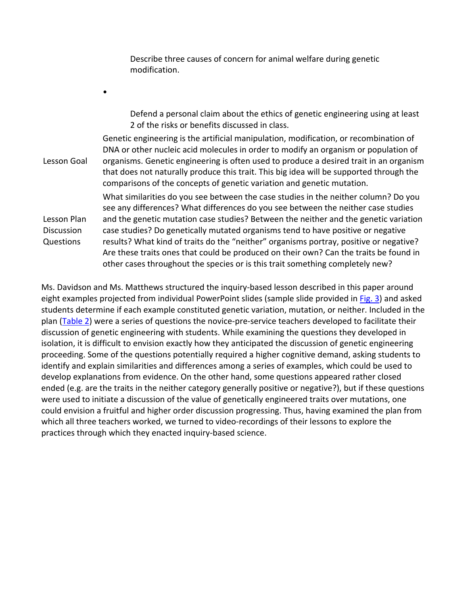Describe three causes of concern for animal welfare during genetic modification.

Defend a personal claim about the ethics of genetic engineering using at least 2 of the risks or benefits discussed in class.

Lesson Goal Genetic engineering is the artificial manipulation, modification, or recombination of DNA or other nucleic acid molecules in order to modify an organism or population of organisms. Genetic engineering is often used to produce a desired trait in an organism that does not naturally produce this trait. This big idea will be supported through the comparisons of the concepts of genetic variation and genetic mutation. Lesson Plan **Discussion** Questions What similarities do you see between the case studies in the neither column? Do you see any differences? What differences do you see between the neither case studies and the genetic mutation case studies? Between the neither and the genetic variation case studies? Do genetically mutated organisms tend to have positive or negative results? What kind of traits do the "neither" organisms portray, positive or negative? Are these traits ones that could be produced on their own? Can the traits be found in other cases throughout the species or is this trait something completely new?

•

Ms. Davidson and Ms. Matthews structured the inquiry‐based lesson described in this paper around eight examples projected from individual PowerPoint slides (sample slide provided in Fig. 3) and asked students determine if each example constituted genetic variation, mutation, or neither. Included in the plan (Table 2) were a series of questions the novice‐pre‐service teachers developed to facilitate their discussion of genetic engineering with students. While examining the questions they developed in isolation, it is difficult to envision exactly how they anticipated the discussion of genetic engineering proceeding. Some of the questions potentially required a higher cognitive demand, asking students to identify and explain similarities and differences among a series of examples, which could be used to develop explanations from evidence. On the other hand, some questions appeared rather closed ended (e.g. are the traits in the neither category generally positive or negative?), but if these questions were used to initiate a discussion of the value of genetically engineered traits over mutations, one could envision a fruitful and higher order discussion progressing. Thus, having examined the plan from which all three teachers worked, we turned to video-recordings of their lessons to explore the practices through which they enacted inquiry‐based science.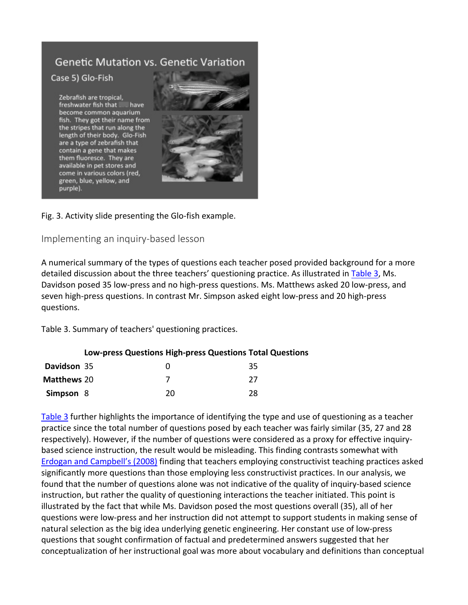## **Genetic Mutation vs. Genetic Variation**

#### Case 5) Glo-Fish

Zebrafish are tropical, freshwater fish that have become common aquarium fish. They got their name from the stripes that run along the length of their body. Glo-Fish are a type of zebrafish that contain a gene that makes them fluoresce. They are available in pet stores and come in various colors (red, green, blue, yellow, and purple).



#### Fig. 3. Activity slide presenting the Glo‐fish example.

Implementing an inquiry‐based lesson

A numerical summary of the types of questions each teacher posed provided background for a more detailed discussion about the three teachers' questioning practice. As illustrated in Table 3, Ms. Davidson posed 35 low‐press and no high‐press questions. Ms. Matthews asked 20 low‐press, and seven high-press questions. In contrast Mr. Simpson asked eight low-press and 20 high-press questions.

Table 3. Summary of teachers' questioning practices.

|                    | Low-press Questions High-press Questions Total Questions |     |
|--------------------|----------------------------------------------------------|-----|
| Davidson 35        |                                                          | 35  |
| <b>Matthews 20</b> |                                                          | -27 |
| Simpson 8          | 20                                                       | 28  |

Table 3 further highlights the importance of identifying the type and use of questioning as a teacher practice since the total number of questions posed by each teacher was fairly similar (35, 27 and 28 respectively). However, if the number of questions were considered as a proxy for effective inquiry‐ based science instruction, the result would be misleading. This finding contrasts somewhat with Erdogan and Campbell's (2008) finding that teachers employing constructivist teaching practices asked significantly more questions than those employing less constructivist practices. In our analysis, we found that the number of questions alone was not indicative of the quality of inquiry-based science instruction, but rather the quality of questioning interactions the teacher initiated. This point is illustrated by the fact that while Ms. Davidson posed the most questions overall (35), all of her questions were low‐press and her instruction did not attempt to support students in making sense of natural selection as the big idea underlying genetic engineering. Her constant use of low‐press questions that sought confirmation of factual and predetermined answers suggested that her conceptualization of her instructional goal was more about vocabulary and definitions than conceptual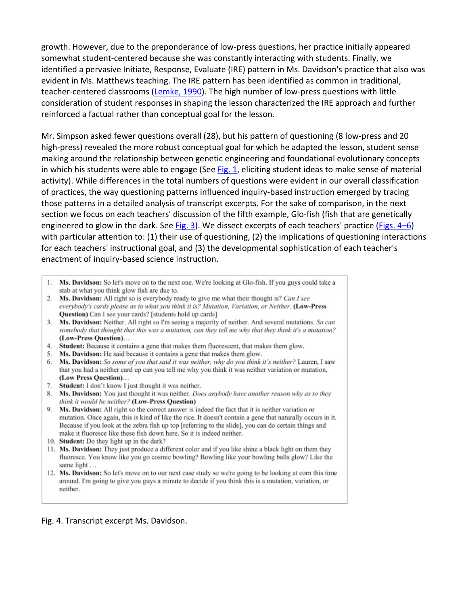growth. However, due to the preponderance of low‐press questions, her practice initially appeared somewhat student-centered because she was constantly interacting with students. Finally, we identified a pervasive Initiate, Response, Evaluate (IRE) pattern in Ms. Davidson's practice that also was evident in Ms. Matthews teaching. The IRE pattern has been identified as common in traditional, teacher-centered classrooms (Lemke, 1990). The high number of low-press questions with little consideration of student responses in shaping the lesson characterized the IRE approach and further reinforced a factual rather than conceptual goal for the lesson.

Mr. Simpson asked fewer questions overall (28), but his pattern of questioning (8 low-press and 20 high-press) revealed the more robust conceptual goal for which he adapted the lesson, student sense making around the relationship between genetic engineering and foundational evolutionary concepts in which his students were able to engage (See Fig. 1, eliciting student ideas to make sense of material activity). While differences in the total numbers of questions were evident in our overall classification of practices, the way questioning patterns influenced inquiry‐based instruction emerged by tracing those patterns in a detailed analysis of transcript excerpts. For the sake of comparison, in the next section we focus on each teachers' discussion of the fifth example, Glo-fish (fish that are genetically engineered to glow in the dark. See Fig. 3). We dissect excerpts of each teachers' practice (Figs. 4-6) with particular attention to: (1) their use of questioning, (2) the implications of questioning interactions for each teachers' instructional goal, and (3) the developmental sophistication of each teacher's enactment of inquiry‐based science instruction.

1. Ms. Davidson: So let's move on to the next one. We're looking at Glo-fish. If you guys could take a stab at what you think glow fish are due to.

- 3. Ms. Davidson: Neither. All right so I'm seeing a majority of neither. And several mutations. So can somebody that thought that this was a mutation, can they tell me why that they think it's a mutation? (Low-Press Question)...
- 4. Student: Because it contains a gene that makes them fluorescent, that makes them glow.
- 5. Ms. Davidson: He said because it contains a gene that makes them glow.
- 6. Ms. Davidson: So some of you that said it was neither, why do you think it's neither? Lauren, I saw that you had a neither card up can you tell me why you think it was neither variation or mutation. (Low Press Question)...
- 7. Student: I don't know I just thought it was neither.
- 8. Ms. Davidson: You just thought it was neither. Does anybody have another reason why as to they think it would be neither? (Low-Press Question)
- 9. Ms. Davidson: All right so the correct answer is indeed the fact that it is neither variation or mutation. Once again, this is kind of like the rice. It doesn't contain a gene that naturally occurs in it. Because if you look at the zebra fish up top [referring to the slide], you can do certain things and make it fluoresce like these fish down here. So it is indeed neither.
- 10. Student: Do they light up in the dark?
- 11. Ms. Davidson: They just produce a different color and if you like shine a black light on them they fluoresce. You know like you go cosmic bowling? Bowling like your bowling balls glow? Like the same light ...
- 12. Ms. Davidson: So let's move on to our next case study so we're going to be looking at corn this time around. I'm going to give you guys a minute to decide if you think this is a mutation, variation, or neither.

#### Fig. 4. Transcript excerpt Ms. Davidson.

<sup>2.</sup> Ms. Davidson: All right so is everybody ready to give me what their thought is? Can I see everybody's cards please as to what you think it is? Mutation, Variation, or Neither. (Low-Press Question) Can I see your cards? [students hold up cards]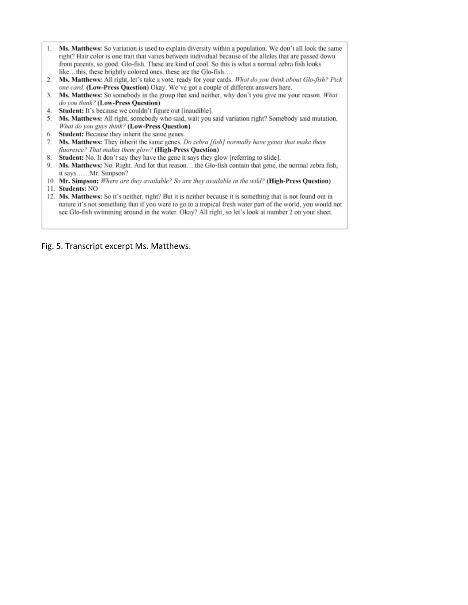- $1.$ Ms. Matthews: So variation is used to explain diversity within a population. We don't all look the same right? Hair color is one trait that varies between individual because of the alleles that are passed down from parents, so good. Glo-fish. These are kind of cool. So this is what a normal zebra fish looks like...this, these brightly colored ones, these are the Glo-fish....
- 2. Ms. Matthews: All right, let's take a vote, ready for your cards. What do you think about Glo-fish? Pick one card. (Low-Press Question) Okay. We've got a couple of different answers here.
- 3. Ms. Matthews: So somebody in the group that said neither, why don't you give me your reason. What do you think? (Low-Press Ouestion)
- 4. Student: It's because we couldn't figure out [inaudible].
- 5. Ms. Matthews: All right, somebody who said, wait you said variation right? Somebody said mutation, What do you guys think? (Low-Press Question)
- 6. Student: Because they inherit the same genes.
- 7. Ms. Matthews: They inherit the same genes. Do zebra [fish] normally have genes that make them fluoresce? That makes them glow? (High-Press Question)
- Student: No. It don't say they have the gene it says they glow [referring to slide]. 8.
- 9. Ms. Matthews: No. Right. And for that reason....the Glo-fish contain that gene, the normal zebra fish, it says......Mr. Simpson?
- 10. Mr. Simpson: Where are they available? So are they available in the wild? (High-Press Question)
- 11. Students: NO
- 12. Ms. Matthews: So it's neither, right? But it is neither because it is something that is not found out in nature it's not something that if you were to go to a tropical fresh water part of the world, you would not see Glo-fish swimming around in the water. Okay? All right, so let's look at number 2 on your sheet.

Fig. 5. Transcript excerpt Ms. Matthews.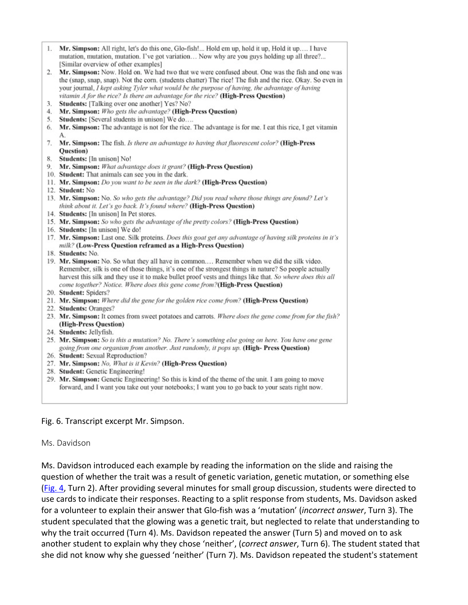1. Mr. Simpson: All right, let's do this one, Glo-fish!... Hold em up, hold it up, Hold it up.... I have mutation, mutation, mutation. I've got variation... Now why are you guys holding up all three?... [Similar overview of other examples] 2. Mr. Simpson: Now. Hold on. We had two that we were confused about. One was the fish and one was the (snap, snap, snap). Not the corn. (students chatter) The rice! The fish and the rice. Okay. So even in your journal, I kept asking Tyler what would be the purpose of having, the advantage of having vitamin A for the rice? Is there an advantage for the rice? (High-Press Question) 3. Students: [Talking over one another] Yes? No? 4. Mr. Simpson: Who gets the advantage? (High-Press Question) 5. Students: [Several students in unison] We do... 6. Mr. Simpson: The advantage is not for the rice. The advantage is for me. I eat this rice, I get vitamin A. 7. Mr. Simpson: The fish. Is there an advantage to having that fluorescent color? (High-Press Question) 8. Students: [In unison] No! 9. Mr. Simpson: What advantage does it grant? (High-Press Question) 10. Student: That animals can see you in the dark. 11. Mr. Simpson: Do you want to be seen in the dark? (High-Press Question) 12. Student: No 13. Mr. Simpson: No. So who gets the advantage? Did you read where those things are found? Let's think about it. Let's go back. It's found where? (High-Press Question) 14. Students: [In unison] In Pet stores. 15. Mr. Simpson: So who gets the advantage of the pretty colors? (High-Press Question) 16. Students: [In unison] We do! 17. Mr. Simpson: Last one. Silk proteins. Does this goat get any advantage of having silk proteins in it's milk? (Low-Press Question reframed as a High-Press Question) 18. Students: No. 19. Mr. Simpson: No. So what they all have in common.... Remember when we did the silk video. Remember, silk is one of those things, it's one of the strongest things in nature? So people actually harvest this silk and they use it to make bullet proof vests and things like that. So where does this all come together? Notice. Where does this gene come from?(High-Press Question) 20. Student: Spiders? 21. Mr. Simpson: Where did the gene for the golden rice come from? (High-Press Question) 22. Students: Oranges? 23. Mr. Simpson: It comes from sweet potatoes and carrots. Where does the gene come from for the fish? (High-Press Question) 24. Students: Jellyfish. 25. Mr. Simpson: So is this a mutation? No. There's something else going on here. You have one gene going from one organism from another. Just randomly, it pops up. (High- Press Question) 26. Student: Sexual Reproduction? 27. Mr. Simpson: No, What is it Kevin? (High-Press Question) 28. Student: Genetic Engineering! 29. Mr. Simpson: Genetic Engineering! So this is kind of the theme of the unit. I am going to move

forward, and I want you take out your notebooks; I want you to go back to your seats right now.

Fig. 6. Transcript excerpt Mr. Simpson.

Ms. Davidson

Ms. Davidson introduced each example by reading the information on the slide and raising the question of whether the trait was a result of genetic variation, genetic mutation, or something else (Fig. 4, Turn 2). After providing several minutes for small group discussion, students were directed to use cards to indicate their responses. Reacting to a split response from students, Ms. Davidson asked for a volunteer to explain their answer that Glo‐fish was a 'mutation' (*incorrect answer*, Turn 3). The student speculated that the glowing was a genetic trait, but neglected to relate that understanding to why the trait occurred (Turn 4). Ms. Davidson repeated the answer (Turn 5) and moved on to ask another student to explain why they chose 'neither', (*correct answer*, Turn 6). The student stated that she did not know why she guessed 'neither' (Turn 7). Ms. Davidson repeated the student's statement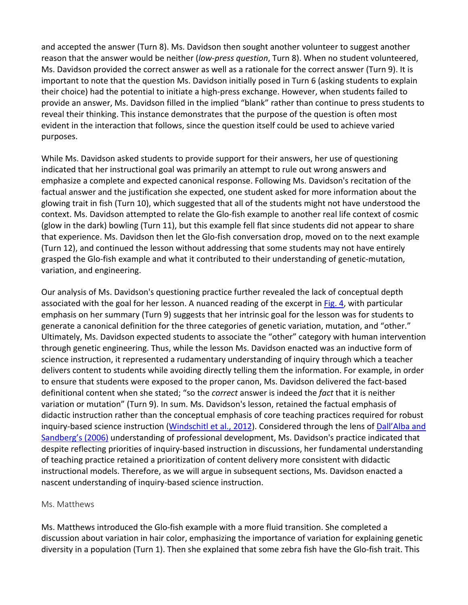and accepted the answer (Turn 8). Ms. Davidson then sought another volunteer to suggest another reason that the answer would be neither (*low‐press question*, Turn 8). When no student volunteered, Ms. Davidson provided the correct answer as well as a rationale for the correct answer (Turn 9). It is important to note that the question Ms. Davidson initially posed in Turn 6 (asking students to explain their choice) had the potential to initiate a high‐press exchange. However, when students failed to provide an answer, Ms. Davidson filled in the implied "blank" rather than continue to press students to reveal their thinking. This instance demonstrates that the purpose of the question is often most evident in the interaction that follows, since the question itself could be used to achieve varied purposes.

While Ms. Davidson asked students to provide support for their answers, her use of questioning indicated that her instructional goal was primarily an attempt to rule out wrong answers and emphasize a complete and expected canonical response. Following Ms. Davidson's recitation of the factual answer and the justification she expected, one student asked for more information about the glowing trait in fish (Turn 10), which suggested that all of the students might not have understood the context. Ms. Davidson attempted to relate the Glo‐fish example to another real life context of cosmic (glow in the dark) bowling (Turn 11), but this example fell flat since students did not appear to share that experience. Ms. Davidson then let the Glo‐fish conversation drop, moved on to the next example (Turn 12), and continued the lesson without addressing that some students may not have entirely grasped the Glo‐fish example and what it contributed to their understanding of genetic‐mutation, variation, and engineering.

Our analysis of Ms. Davidson's questioning practice further revealed the lack of conceptual depth associated with the goal for her lesson. A nuanced reading of the excerpt in Fig. 4, with particular emphasis on her summary (Turn 9) suggests that her intrinsic goal for the lesson was for students to generate a canonical definition for the three categories of genetic variation, mutation, and "other." Ultimately, Ms. Davidson expected students to associate the "other" category with human intervention through genetic engineering. Thus, while the lesson Ms. Davidson enacted was an inductive form of science instruction, it represented a rudamentary understanding of inquiry through which a teacher delivers content to students while avoiding directly telling them the information. For example, in order to ensure that students were exposed to the proper canon, Ms. Davidson delivered the fact‐based definitional content when she stated; "so the *correct* answer is indeed the *fact* that it is neither variation or mutation" (Turn 9). In sum. Ms. Davidson's lesson, retained the factual emphasis of didactic instruction rather than the conceptual emphasis of core teaching practices required for robust inquiry‐based science instruction (Windschitl et al., 2012). Considered through the lens of Dall'Alba and Sandberg's (2006) understanding of professional development, Ms. Davidson's practice indicated that despite reflecting priorities of inquiry‐based instruction in discussions, her fundamental understanding of teaching practice retained a prioritization of content delivery more consistent with didactic instructional models. Therefore, as we will argue in subsequent sections, Ms. Davidson enacted a nascent understanding of inquiry‐based science instruction.

#### Ms. Matthews

Ms. Matthews introduced the Glo‐fish example with a more fluid transition. She completed a discussion about variation in hair color, emphasizing the importance of variation for explaining genetic diversity in a population (Turn 1). Then she explained that some zebra fish have the Glo‐fish trait. This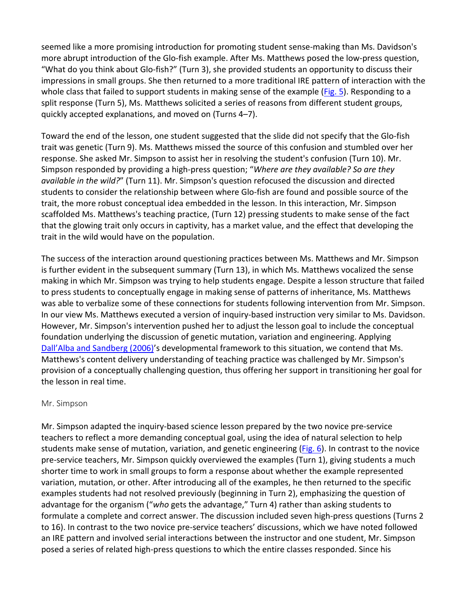seemed like a more promising introduction for promoting student sense-making than Ms. Davidson's more abrupt introduction of the Glo-fish example. After Ms. Matthews posed the low-press question, "What do you think about Glo‐fish?" (Turn 3), she provided students an opportunity to discuss their impressions in small groups. She then returned to a more traditional IRE pattern of interaction with the whole class that failed to support students in making sense of the example (Fig. 5). Responding to a split response (Turn 5), Ms. Matthews solicited a series of reasons from different student groups, quickly accepted explanations, and moved on (Turns 4–7).

Toward the end of the lesson, one student suggested that the slide did not specify that the Glo‐fish trait was genetic (Turn 9). Ms. Matthews missed the source of this confusion and stumbled over her response. She asked Mr. Simpson to assist her in resolving the student's confusion (Turn 10). Mr. Simpson responded by providing a high‐press question; "*Where are they available? So are they available in the wild?*" (Turn 11). Mr. Simpson's question refocused the discussion and directed students to consider the relationship between where Glo‐fish are found and possible source of the trait, the more robust conceptual idea embedded in the lesson. In this interaction, Mr. Simpson scaffolded Ms. Matthews's teaching practice, (Turn 12) pressing students to make sense of the fact that the glowing trait only occurs in captivity, has a market value, and the effect that developing the trait in the wild would have on the population.

The success of the interaction around questioning practices between Ms. Matthews and Mr. Simpson is further evident in the subsequent summary (Turn 13), in which Ms. Matthews vocalized the sense making in which Mr. Simpson was trying to help students engage. Despite a lesson structure that failed to press students to conceptually engage in making sense of patterns of inheritance, Ms. Matthews was able to verbalize some of these connections for students following intervention from Mr. Simpson. In our view Ms. Matthews executed a version of inquiry‐based instruction very similar to Ms. Davidson. However, Mr. Simpson's intervention pushed her to adjust the lesson goal to include the conceptual foundation underlying the discussion of genetic mutation, variation and engineering. Applying Dall'Alba and Sandberg (2006)'s developmental framework to this situation, we contend that Ms. Matthews's content delivery understanding of teaching practice was challenged by Mr. Simpson's provision of a conceptually challenging question, thus offering her support in transitioning her goal for the lesson in real time.

#### Mr. Simpson

Mr. Simpson adapted the inquiry‐based science lesson prepared by the two novice pre‐service teachers to reflect a more demanding conceptual goal, using the idea of natural selection to help students make sense of mutation, variation, and genetic engineering (Fig. 6). In contrast to the novice pre‐service teachers, Mr. Simpson quickly overviewed the examples (Turn 1), giving students a much shorter time to work in small groups to form a response about whether the example represented variation, mutation, or other. After introducing all of the examples, he then returned to the specific examples students had not resolved previously (beginning in Turn 2), emphasizing the question of advantage for the organism ("*who* gets the advantage," Turn 4) rather than asking students to formulate a complete and correct answer. The discussion included seven high-press questions (Turns 2 to 16). In contrast to the two novice pre‐service teachers' discussions, which we have noted followed an IRE pattern and involved serial interactions between the instructor and one student, Mr. Simpson posed a series of related high‐press questions to which the entire classes responded. Since his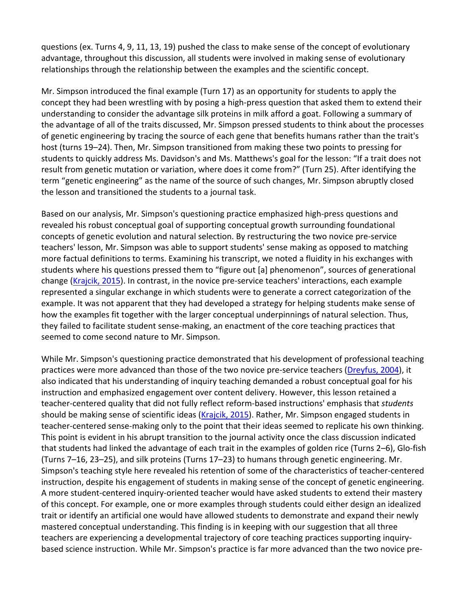questions (ex. Turns 4, 9, 11, 13, 19) pushed the class to make sense of the concept of evolutionary advantage, throughout this discussion, all students were involved in making sense of evolutionary relationships through the relationship between the examples and the scientific concept.

Mr. Simpson introduced the final example (Turn 17) as an opportunity for students to apply the concept they had been wrestling with by posing a high‐press question that asked them to extend their understanding to consider the advantage silk proteins in milk afford a goat. Following a summary of the advantage of all of the traits discussed, Mr. Simpson pressed students to think about the processes of genetic engineering by tracing the source of each gene that benefits humans rather than the trait's host (turns 19–24). Then, Mr. Simpson transitioned from making these two points to pressing for students to quickly address Ms. Davidson's and Ms. Matthews's goal for the lesson: "If a trait does not result from genetic mutation or variation, where does it come from?" (Turn 25). After identifying the term "genetic engineering" as the name of the source of such changes, Mr. Simpson abruptly closed the lesson and transitioned the students to a journal task.

Based on our analysis, Mr. Simpson's questioning practice emphasized high‐press questions and revealed his robust conceptual goal of supporting conceptual growth surrounding foundational concepts of genetic evolution and natural selection. By restructuring the two novice pre‐service teachers' lesson, Mr. Simpson was able to support students' sense making as opposed to matching more factual definitions to terms. Examining his transcript, we noted a fluidity in his exchanges with students where his questions pressed them to "figure out [a] phenomenon", sources of generational change (Krajcik, 2015). In contrast, in the novice pre-service teachers' interactions, each example represented a singular exchange in which students were to generate a correct categorization of the example. It was not apparent that they had developed a strategy for helping students make sense of how the examples fit together with the larger conceptual underpinnings of natural selection. Thus, they failed to facilitate student sense‐making, an enactment of the core teaching practices that seemed to come second nature to Mr. Simpson.

While Mr. Simpson's questioning practice demonstrated that his development of professional teaching practices were more advanced than those of the two novice pre-service teachers (Dreyfus, 2004), it also indicated that his understanding of inquiry teaching demanded a robust conceptual goal for his instruction and emphasized engagement over content delivery. However, this lesson retained a teacher‐centered quality that did not fully reflect reform‐based instructions' emphasis that *students* should be making sense of scientific ideas (Krajcik, 2015). Rather, Mr. Simpson engaged students in teacher-centered sense-making only to the point that their ideas seemed to replicate his own thinking. This point is evident in his abrupt transition to the journal activity once the class discussion indicated that students had linked the advantage of each trait in the examples of golden rice (Turns 2–6), Glo‐fish (Turns 7–16, 23–25), and silk proteins (Turns 17–23) to humans through genetic engineering. Mr. Simpson's teaching style here revealed his retention of some of the characteristics of teacher‐centered instruction, despite his engagement of students in making sense of the concept of genetic engineering. A more student‐centered inquiry‐oriented teacher would have asked students to extend their mastery of this concept. For example, one or more examples through students could either design an idealized trait or identify an artificial one would have allowed students to demonstrate and expand their newly mastered conceptual understanding. This finding is in keeping with our suggestion that all three teachers are experiencing a developmental trajectory of core teaching practices supporting inquiry‐ based science instruction. While Mr. Simpson's practice is far more advanced than the two novice pre‐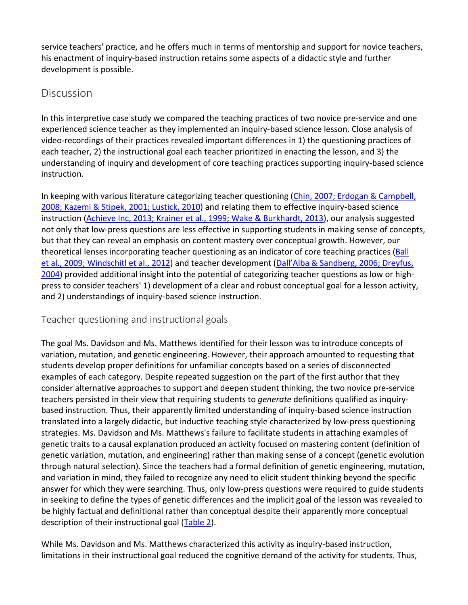service teachers' practice, and he offers much in terms of mentorship and support for novice teachers, his enactment of inquiry‐based instruction retains some aspects of a didactic style and further development is possible.

## **Discussion**

In this interpretive case study we compared the teaching practices of two novice pre‐service and one experienced science teacher as they implemented an inquiry‐based science lesson. Close analysis of video‐recordings of their practices revealed important differences in 1) the questioning practices of each teacher, 2) the instructional goal each teacher prioritized in enacting the lesson, and 3) the understanding of inquiry and development of core teaching practices supporting inquiry‐based science instruction.

In keeping with various literature categorizing teacher questioning (Chin, 2007; Erdogan & Campbell, 2008; Kazemi & Stipek, 2001; Lustick, 2010) and relating them to effective inquiry‐based science instruction (Achieve Inc, 2013; Krainer et al., 1999; Wake & Burkhardt, 2013), our analysis suggested not only that low‐press questions are less effective in supporting students in making sense of concepts, but that they can reveal an emphasis on content mastery over conceptual growth. However, our theoretical lenses incorporating teacher questioning as an indicator of core teaching practices (Ball et al., 2009; Windschitl et al., 2012) and teacher development (Dall'Alba & Sandberg, 2006; Dreyfus, 2004) provided additional insight into the potential of categorizing teacher questions as low or high‐ press to consider teachers' 1) development of a clear and robust conceptual goal for a lesson activity, and 2) understandings of inquiry‐based science instruction.

#### Teacher questioning and instructional goals

The goal Ms. Davidson and Ms. Matthews identified for their lesson was to introduce concepts of variation, mutation, and genetic engineering. However, their approach amounted to requesting that students develop proper definitions for unfamiliar concepts based on a series of disconnected examples of each category. Despite repeated suggestion on the part of the first author that they consider alternative approaches to support and deepen student thinking, the two novice pre‐service teachers persisted in their view that requiring students to *generate* definitions qualified as inquiry‐ based instruction. Thus, their apparently limited understanding of inquiry‐based science instruction translated into a largely didactic, but inductive teaching style characterized by low‐press questioning strategies. Ms. Davidson and Ms. Matthews's failure to facilitate students in attaching examples of genetic traits to a causal explanation produced an activity focused on mastering content (definition of genetic variation, mutation, and engineering) rather than making sense of a concept (genetic evolution through natural selection). Since the teachers had a formal definition of genetic engineering, mutation, and variation in mind, they failed to recognize any need to elicit student thinking beyond the specific answer for which they were searching. Thus, only low‐press questions were required to guide students in seeking to define the types of genetic differences and the implicit goal of the lesson was revealed to be highly factual and definitional rather than conceptual despite their apparently more conceptual description of their instructional goal (Table 2).

While Ms. Davidson and Ms. Matthews characterized this activity as inquiry‐based instruction, limitations in their instructional goal reduced the cognitive demand of the activity for students. Thus,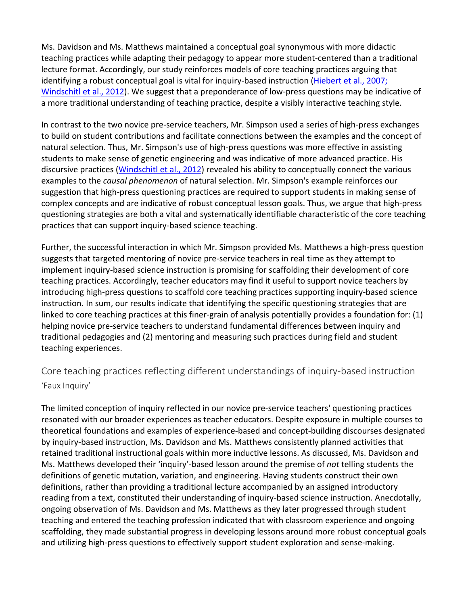Ms. Davidson and Ms. Matthews maintained a conceptual goal synonymous with more didactic teaching practices while adapting their pedagogy to appear more student‐centered than a traditional lecture format. Accordingly, our study reinforces models of core teaching practices arguing that identifying a robust conceptual goal is vital for inquiry‐based instruction (Hiebert et al., 2007; Windschitl et al., 2012). We suggest that a preponderance of low-press questions may be indicative of a more traditional understanding of teaching practice, despite a visibly interactive teaching style.

In contrast to the two novice pre‐service teachers, Mr. Simpson used a series of high‐press exchanges to build on student contributions and facilitate connections between the examples and the concept of natural selection. Thus, Mr. Simpson's use of high‐press questions was more effective in assisting students to make sense of genetic engineering and was indicative of more advanced practice. His discursive practices (Windschitl et al., 2012) revealed his ability to conceptually connect the various examples to the *causal phenomenon* of natural selection. Mr. Simpson's example reinforces our suggestion that high‐press questioning practices are required to support students in making sense of complex concepts and are indicative of robust conceptual lesson goals. Thus, we argue that high‐press questioning strategies are both a vital and systematically identifiable characteristic of the core teaching practices that can support inquiry‐based science teaching.

Further, the successful interaction in which Mr. Simpson provided Ms. Matthews a high‐press question suggests that targeted mentoring of novice pre‐service teachers in real time as they attempt to implement inquiry-based science instruction is promising for scaffolding their development of core teaching practices. Accordingly, teacher educators may find it useful to support novice teachers by introducing high-press questions to scaffold core teaching practices supporting inquiry-based science instruction. In sum, our results indicate that identifying the specific questioning strategies that are linked to core teaching practices at this finer-grain of analysis potentially provides a foundation for: (1) helping novice pre‐service teachers to understand fundamental differences between inquiry and traditional pedagogies and (2) mentoring and measuring such practices during field and student teaching experiences.

## Core teaching practices reflecting different understandings of inquiry‐based instruction 'Faux Inquiry'

The limited conception of inquiry reflected in our novice pre‐service teachers' questioning practices resonated with our broader experiences as teacher educators. Despite exposure in multiple courses to theoretical foundations and examples of experience‐based and concept‐building discourses designated by inquiry‐based instruction, Ms. Davidson and Ms. Matthews consistently planned activities that retained traditional instructional goals within more inductive lessons. As discussed, Ms. Davidson and Ms. Matthews developed their 'inquiry'‐based lesson around the premise of *not* telling students the definitions of genetic mutation, variation, and engineering. Having students construct their own definitions, rather than providing a traditional lecture accompanied by an assigned introductory reading from a text, constituted their understanding of inquiry‐based science instruction. Anecdotally, ongoing observation of Ms. Davidson and Ms. Matthews as they later progressed through student teaching and entered the teaching profession indicated that with classroom experience and ongoing scaffolding, they made substantial progress in developing lessons around more robust conceptual goals and utilizing high-press questions to effectively support student exploration and sense-making.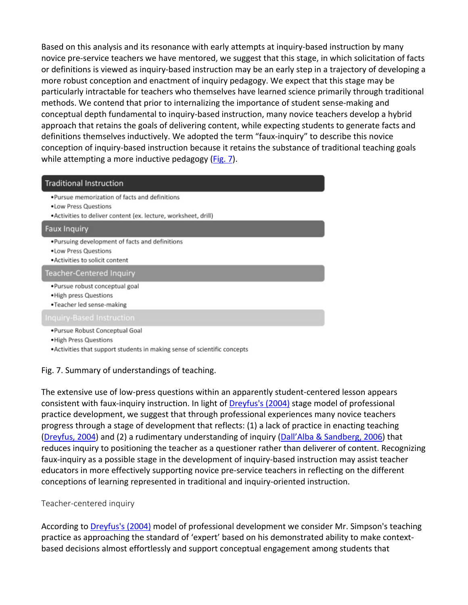Based on this analysis and its resonance with early attempts at inquiry-based instruction by many novice pre‐service teachers we have mentored, we suggest that this stage, in which solicitation of facts or definitions is viewed as inquiry‐based instruction may be an early step in a trajectory of developing a more robust conception and enactment of inquiry pedagogy. We expect that this stage may be particularly intractable for teachers who themselves have learned science primarily through traditional methods. We contend that prior to internalizing the importance of student sense-making and conceptual depth fundamental to inquiry‐based instruction, many novice teachers develop a hybrid approach that retains the goals of delivering content, while expecting students to generate facts and definitions themselves inductively. We adopted the term "faux‐inquiry" to describe this novice conception of inquiry‐based instruction because it retains the substance of traditional teaching goals while attempting a more inductive pedagogy (Fig. 7).

## **Traditional Instruction** . Pursue memorization of facts and definitions . Low Press Questions . Activities to deliver content (ex. lecture, worksheet, drill) **Faux Inquiry** . Pursuing development of facts and definitions . Low Press Questions · Activities to solicit content Teacher-Centered Inquiry ·Pursue robust conceptual goal . High press Questions . Teacher led sense-making ·Pursue Robust Conceptual Goal . High Press Questions . Activities that support students in making sense of scientific concepts

#### Fig. 7. Summary of understandings of teaching.

The extensive use of low-press questions within an apparently student-centered lesson appears consistent with faux-inquiry instruction. In light of **Dreyfus's (2004)** stage model of professional practice development, we suggest that through professional experiences many novice teachers progress through a stage of development that reflects: (1) a lack of practice in enacting teaching (Dreyfus, 2004) and (2) a rudimentary understanding of inquiry (Dall'Alba & Sandberg, 2006) that reduces inquiry to positioning the teacher as a questioner rather than deliverer of content. Recognizing faux‐inquiry as a possible stage in the development of inquiry‐based instruction may assist teacher educators in more effectively supporting novice pre‐service teachers in reflecting on the different conceptions of learning represented in traditional and inquiry‐oriented instruction.

#### Teacher‐centered inquiry

According to Dreyfus's (2004) model of professional development we consider Mr. Simpson's teaching practice as approaching the standard of 'expert' based on his demonstrated ability to make contextbased decisions almost effortlessly and support conceptual engagement among students that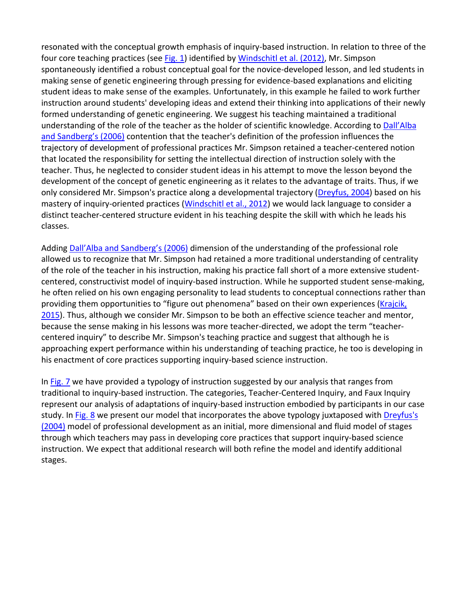resonated with the conceptual growth emphasis of inquiry‐based instruction. In relation to three of the four core teaching practices (see Fig. 1) identified by Windschitl et al. (2012), Mr. Simpson spontaneously identified a robust conceptual goal for the novice-developed lesson, and led students in making sense of genetic engineering through pressing for evidence‐based explanations and eliciting student ideas to make sense of the examples. Unfortunately, in this example he failed to work further instruction around students' developing ideas and extend their thinking into applications of their newly formed understanding of genetic engineering. We suggest his teaching maintained a traditional understanding of the role of the teacher as the holder of scientific knowledge. According to Dall'Alba and Sandberg's (2006) contention that the teacher's definition of the profession influences the trajectory of development of professional practices Mr. Simpson retained a teacher‐centered notion that located the responsibility for setting the intellectual direction of instruction solely with the teacher. Thus, he neglected to consider student ideas in his attempt to move the lesson beyond the development of the concept of genetic engineering as it relates to the advantage of traits. Thus, if we only considered Mr. Simpson's practice along a developmental trajectory (Dreyfus, 2004) based on his mastery of inquiry‐oriented practices (Windschitl et al., 2012) we would lack language to consider a distinct teacher‐centered structure evident in his teaching despite the skill with which he leads his classes.

Adding Dall'Alba and Sandberg's (2006) dimension of the understanding of the professional role allowed us to recognize that Mr. Simpson had retained a more traditional understanding of centrality of the role of the teacher in his instruction, making his practice fall short of a more extensive student‐ centered, constructivist model of inquiry‐based instruction. While he supported student sense‐making, he often relied on his own engaging personality to lead students to conceptual connections rather than providing them opportunities to "figure out phenomena" based on their own experiences (Krajcik, 2015). Thus, although we consider Mr. Simpson to be both an effective science teacher and mentor, because the sense making in his lessons was more teacher‐directed, we adopt the term "teacher‐ centered inquiry" to describe Mr. Simpson's teaching practice and suggest that although he is approaching expert performance within his understanding of teaching practice, he too is developing in his enactment of core practices supporting inquiry-based science instruction.

In Fig. 7 we have provided a typology of instruction suggested by our analysis that ranges from traditional to inquiry‐based instruction. The categories, Teacher‐Centered Inquiry, and Faux Inquiry represent our analysis of adaptations of inquiry‐based instruction embodied by participants in our case study. In Fig. 8 we present our model that incorporates the above typology juxtaposed with Dreyfus's (2004) model of professional development as an initial, more dimensional and fluid model of stages through which teachers may pass in developing core practices that support inquiry‐based science instruction. We expect that additional research will both refine the model and identify additional stages.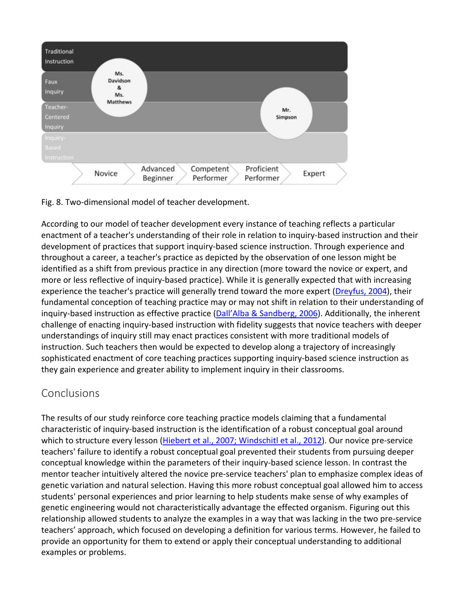

Fig. 8. Two-dimensional model of teacher development.

According to our model of teacher development every instance of teaching reflects a particular enactment of a teacher's understanding of their role in relation to inquiry-based instruction and their development of practices that support inquiry‐based science instruction. Through experience and throughout a career, a teacher's practice as depicted by the observation of one lesson might be identified as a shift from previous practice in any direction (more toward the novice or expert, and more or less reflective of inquiry-based practice). While it is generally expected that with increasing experience the teacher's practice will generally trend toward the more expert (Dreyfus, 2004), their fundamental conception of teaching practice may or may not shift in relation to their understanding of inquiry‐based instruction as effective practice (Dall'Alba & Sandberg, 2006). Additionally, the inherent challenge of enacting inquiry‐based instruction with fidelity suggests that novice teachers with deeper understandings of inquiry still may enact practices consistent with more traditional models of instruction. Such teachers then would be expected to develop along a trajectory of increasingly sophisticated enactment of core teaching practices supporting inquiry-based science instruction as they gain experience and greater ability to implement inquiry in their classrooms.

## Conclusions

The results of our study reinforce core teaching practice models claiming that a fundamental characteristic of inquiry‐based instruction is the identification of a robust conceptual goal around which to structure every lesson (Hiebert et al., 2007; Windschitl et al., 2012). Our novice pre-service teachers' failure to identify a robust conceptual goal prevented their students from pursuing deeper conceptual knowledge within the parameters of their inquiry‐based science lesson. In contrast the mentor teacher intuitively altered the novice pre‐service teachers' plan to emphasize complex ideas of genetic variation and natural selection. Having this more robust conceptual goal allowed him to access students' personal experiences and prior learning to help students make sense of why examples of genetic engineering would not characteristically advantage the effected organism. Figuring out this relationship allowed students to analyze the examples in a way that was lacking in the two pre‐service teachers' approach, which focused on developing a definition for various terms. However, he failed to provide an opportunity for them to extend or apply their conceptual understanding to additional examples or problems.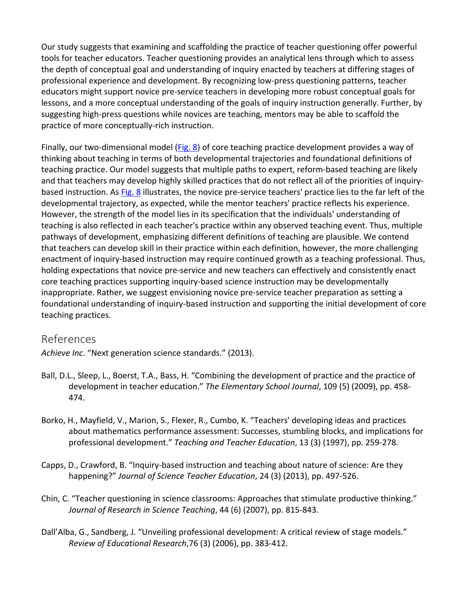Our study suggests that examining and scaffolding the practice of teacher questioning offer powerful tools for teacher educators. Teacher questioning provides an analytical lens through which to assess the depth of conceptual goal and understanding of inquiry enacted by teachers at differing stages of professional experience and development. By recognizing low‐press questioning patterns, teacher educators might support novice pre‐service teachers in developing more robust conceptual goals for lessons, and a more conceptual understanding of the goals of inquiry instruction generally. Further, by suggesting high‐press questions while novices are teaching, mentors may be able to scaffold the practice of more conceptually‐rich instruction.

Finally, our two-dimensional model (Fig. 8) of core teaching practice development provides a way of thinking about teaching in terms of both developmental trajectories and foundational definitions of teaching practice. Our model suggests that multiple paths to expert, reform‐based teaching are likely and that teachers may develop highly skilled practices that do not reflect all of the priorities of inquirybased instruction. As Fig. 8 illustrates, the novice pre-service teachers' practice lies to the far left of the developmental trajectory, as expected, while the mentor teachers' practice reflects his experience. However, the strength of the model lies in its specification that the individuals' understanding of teaching is also reflected in each teacher's practice within any observed teaching event. Thus, multiple pathways of development, emphasizing different definitions of teaching are plausible. We contend that teachers can develop skill in their practice within each definition, however, the more challenging enactment of inquiry-based instruction may require continued growth as a teaching professional. Thus, holding expectations that novice pre‐service and new teachers can effectively and consistently enact core teaching practices supporting inquiry‐based science instruction may be developmentally inappropriate. Rather, we suggest envisioning novice pre-service teacher preparation as setting a foundational understanding of inquiry‐based instruction and supporting the initial development of core teaching practices.

#### References

*Achieve Inc*. "Next generation science standards." (2013).

- Ball, D.L., Sleep, L., Boerst, T.A., Bass, H. "Combining the development of practice and the practice of development in teacher education." *The Elementary School Journal*, 109 (5) (2009), pp. 458‐ 474.
- Borko, H., Mayfield, V., Marion, S., Flexer, R., Cumbo, K. "Teachers' developing ideas and practices about mathematics performance assessment: Successes, stumbling blocks, and implications for professional development." *Teaching and Teacher Education*, 13 (3) (1997), pp. 259‐278.
- Capps, D., Crawford, B. "Inquiry‐based instruction and teaching about nature of science: Are they happening?" *Journal of Science Teacher Education*, 24 (3) (2013), pp. 497‐526.
- Chin, C. "Teacher questioning in science classrooms: Approaches that stimulate productive thinking." *Journal of Research in Science Teaching*, 44 (6) (2007), pp. 815‐843.
- Dall'Alba, G., Sandberg, J. "Unveiling professional development: A critical review of stage models." *Review of Educational Research*,76 (3) (2006), pp. 383‐412.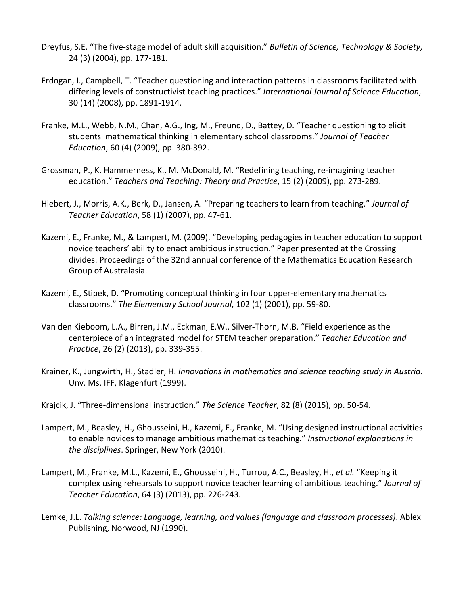- Dreyfus, S.E. "The five‐stage model of adult skill acquisition." *Bulletin of Science, Technology & Society*, 24 (3) (2004), pp. 177‐181.
- Erdogan, I., Campbell, T. "Teacher questioning and interaction patterns in classrooms facilitated with differing levels of constructivist teaching practices." *International Journal of Science Education*, 30 (14) (2008), pp. 1891‐1914.
- Franke, M.L., Webb, N.M., Chan, A.G., Ing, M., Freund, D., Battey, D. "Teacher questioning to elicit students' mathematical thinking in elementary school classrooms." *Journal of Teacher Education*, 60 (4) (2009), pp. 380‐392.
- Grossman, P., K. Hammerness, K., M. McDonald, M. "Redefining teaching, re‐imagining teacher education." *Teachers and Teaching: Theory and Practice*, 15 (2) (2009), pp. 273‐289.
- Hiebert, J., Morris, A.K., Berk, D., Jansen, A. "Preparing teachers to learn from teaching." *Journal of Teacher Education*, 58 (1) (2007), pp. 47‐61.
- Kazemi, E., Franke, M., & Lampert, M. (2009). "Developing pedagogies in teacher education to support novice teachers' ability to enact ambitious instruction." Paper presented at the Crossing divides: Proceedings of the 32nd annual conference of the Mathematics Education Research Group of Australasia.
- Kazemi, E., Stipek, D. "Promoting conceptual thinking in four upper‐elementary mathematics classrooms." *The Elementary School Journal*, 102 (1) (2001), pp. 59‐80.
- Van den Kieboom, L.A., Birren, J.M., Eckman, E.W., Silver‐Thorn, M.B. "Field experience as the centerpiece of an integrated model for STEM teacher preparation." *Teacher Education and Practice*, 26 (2) (2013), pp. 339‐355.
- Krainer, K., Jungwirth, H., Stadler, H. *Innovations in mathematics and science teaching study in Austria*. Unv. Ms. IFF, Klagenfurt (1999).
- Krajcik, J. "Three‐dimensional instruction." *The Science Teacher*, 82 (8) (2015), pp. 50‐54.
- Lampert, M., Beasley, H., Ghousseini, H., Kazemi, E., Franke, M. "Using designed instructional activities to enable novices to manage ambitious mathematics teaching." *Instructional explanations in the disciplines*. Springer, New York (2010).
- Lampert, M., Franke, M.L., Kazemi, E., Ghousseini, H., Turrou, A.C., Beasley, H., *et al.* "Keeping it complex using rehearsals to support novice teacher learning of ambitious teaching." *Journal of Teacher Education*, 64 (3) (2013), pp. 226‐243.
- Lemke, J.L. *Talking science: Language, learning, and values (language and classroom processes)*. Ablex Publishing, Norwood, NJ (1990).